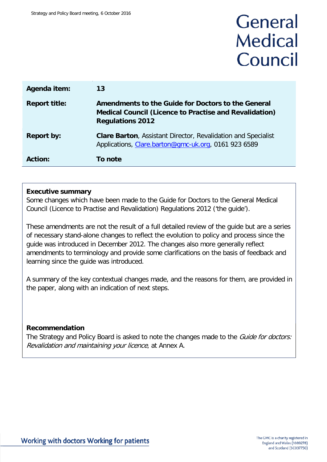# General **Medical** Council

| Agenda item:         | 13                                                                                                                                             |
|----------------------|------------------------------------------------------------------------------------------------------------------------------------------------|
| <b>Report title:</b> | Amendments to the Guide for Doctors to the General<br><b>Medical Council (Licence to Practise and Revalidation)</b><br><b>Regulations 2012</b> |
| <b>Report by:</b>    | <b>Clare Barton, Assistant Director, Revalidation and Specialist</b><br>Applications, Clare.barton@gmc-uk.org, 0161 923 6589                   |
| Action:              | To note                                                                                                                                        |

#### **Executive summary**

Some changes which have been made to the Guide for Doctors to the General Medical Council (Licence to Practise and Revalidation) Regulations 2012 ('the guide').

These amendments are not the result of a full detailed review of the guide but are a series of necessary stand-alone changes to reflect the evolution to policy and process since the guide was introduced in December 2012. The changes also more generally reflect amendments to terminology and provide some clarifications on the basis of feedback and learning since the guide was introduced.

A summary of the key contextual changes made, and the reasons for them, are provided in the paper, along with an indication of next steps.

#### **Recommendation**

The Strategy and Policy Board is asked to note the changes made to the *Guide for doctors:* Revalidation and maintaining your licence, at Annex A.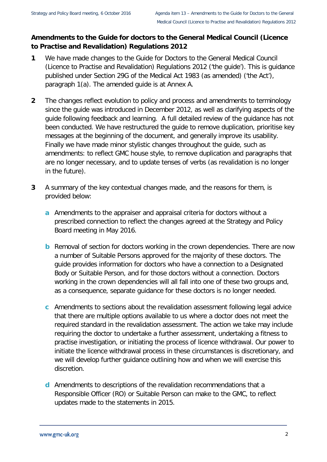#### **Amendments to the Guide for doctors to the General Medical Council (Licence to Practise and Revalidation) Regulations 2012**

- **1** We have made changes to the Guide for Doctors to the General Medical Council (Licence to Practise and Revalidation) Regulations 2012 ('the guide'). This is guidance published under Section 29G of the Medical Act 1983 (as amended) ('the Act'), paragraph 1(a). The amended guide is at Annex A.
- **2** The changes reflect evolution to policy and process and amendments to terminology since the guide was introduced in December 2012, as well as clarifying aspects of the guide following feedback and learning. A full detailed review of the guidance has not been conducted. We have restructured the guide to remove duplication, prioritise key messages at the beginning of the document, and generally improve its usability. Finally we have made minor stylistic changes throughout the guide, such as amendments: to reflect GMC house style, to remove duplication and paragraphs that are no longer necessary, and to update tenses of verbs (as revalidation is no longer in the future).
- **3** A summary of the key contextual changes made, and the reasons for them, is provided below:
	- **a** Amendments to the appraiser and appraisal criteria for doctors without a prescribed connection to reflect the changes agreed at the Strategy and Policy Board meeting in May 2016.
	- **b** Removal of section for doctors working in the crown dependencies. There are now a number of Suitable Persons approved for the majority of these doctors. The guide provides information for doctors who have a connection to a Designated Body or Suitable Person, and for those doctors without a connection. Doctors working in the crown dependencies will all fall into one of these two groups and, as a consequence, separate guidance for these doctors is no longer needed.
	- **c** Amendments to sections about the revalidation assessment following legal advice that there are multiple options available to us where a doctor does not meet the required standard in the revalidation assessment. The action we take may include requiring the doctor to undertake a further assessment, undertaking a fitness to practise investigation, or initiating the process of licence withdrawal. Our power to initiate the licence withdrawal process in these circumstances is discretionary, and we will develop further guidance outlining how and when we will exercise this discretion.
	- **d** Amendments to descriptions of the revalidation recommendations that a Responsible Officer (RO) or Suitable Person can make to the GMC, to reflect updates made to the statements in 2015.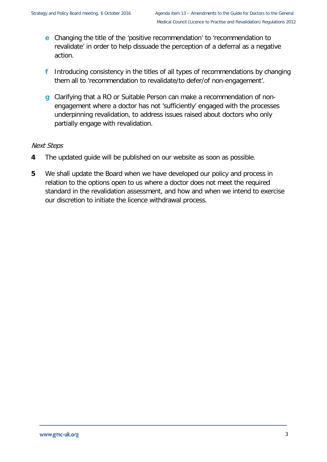- **e** Changing the title of the 'positive recommendation' to 'recommendation to revalidate' in order to help dissuade the perception of a deferral as a negative action.
- **f** Introducing consistency in the titles of all types of recommendations by changing them all to 'recommendation to revalidate/to defer/of non-engagement'.
- **g** Clarifying that a RO or Suitable Person can make a recommendation of nonengagement where a doctor has not 'sufficiently' engaged with the processes underpinning revalidation, to address issues raised about doctors who only partially engage with revalidation.

#### Next Steps

- **4** The updated guide will be published on our website as soon as possible.
- **5** We shall update the Board when we have developed our policy and process in relation to the options open to us where a doctor does not meet the required standard in the revalidation assessment, and how and when we intend to exercise our discretion to initiate the licence withdrawal process.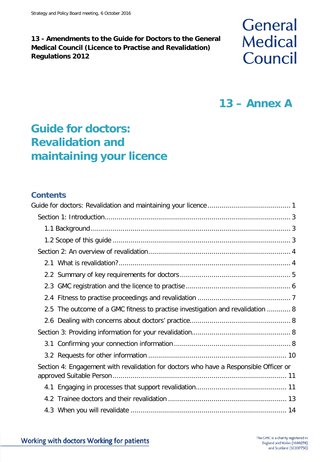#### **13 - Amendments to the Guide for Doctors to the General Medical Council (Licence to Practise and Revalidation) Regulations 2012**

# **General Medical** Council

## **13 – Annex A**

## <span id="page-3-0"></span>**Guide for doctors: Revalidation and maintaining your licence**

#### **Contents**

| 2.5 The outcome of a GMC fitness to practise investigation and revalidation  8        |  |  |
|---------------------------------------------------------------------------------------|--|--|
|                                                                                       |  |  |
|                                                                                       |  |  |
|                                                                                       |  |  |
|                                                                                       |  |  |
| Section 4: Engagement with revalidation for doctors who have a Responsible Officer or |  |  |
|                                                                                       |  |  |
|                                                                                       |  |  |
|                                                                                       |  |  |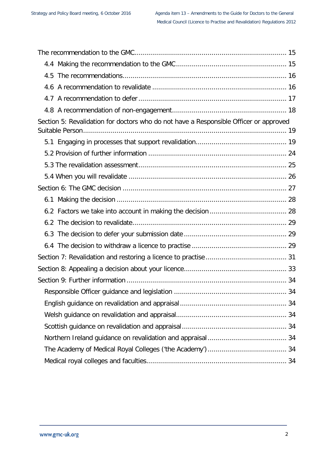| Section 5: Revalidation for doctors who do not have a Responsible Officer or approved |  |  |
|---------------------------------------------------------------------------------------|--|--|
|                                                                                       |  |  |
|                                                                                       |  |  |
|                                                                                       |  |  |
|                                                                                       |  |  |
|                                                                                       |  |  |
|                                                                                       |  |  |
|                                                                                       |  |  |
|                                                                                       |  |  |
|                                                                                       |  |  |
|                                                                                       |  |  |
|                                                                                       |  |  |
|                                                                                       |  |  |
|                                                                                       |  |  |
|                                                                                       |  |  |
|                                                                                       |  |  |
|                                                                                       |  |  |
|                                                                                       |  |  |
|                                                                                       |  |  |
|                                                                                       |  |  |
|                                                                                       |  |  |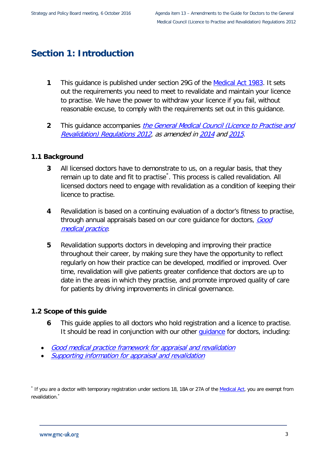## <span id="page-5-0"></span>**Section 1: Introduction**

- **1** This guidance is published under section 29G of the [Medical Act 1983.](http://www.gmc-uk.org/about/legislation/medical_act.asp) It sets out the requirements you need to meet to revalidate and maintain your licence to practise. We have the power to withdraw your licence if you fail, without reasonable excuse, to comply with the requirements set out in this guidance.
- **2** This guidance accompanies [the General Medical Council \(Licence to Practise and](http://www.gmc-uk.org/2015_LTP_and_Revalidation_Regs_Consolidated.pdf_61956494.pdf)  [Revalidation\) Regulations 2012,](http://www.gmc-uk.org/2015_LTP_and_Revalidation_Regs_Consolidated.pdf_61956494.pdf) as amended i[n 2014](http://www.gmc-uk.org/LtP_Regulations_2014_FINAL__VALIDATED_.pdf_56653584.pdf) an[d 2015](http://www.gmc-uk.org/LtP_and_Reval_Regs_2015.pdf_61954008.pdf).

#### <span id="page-5-1"></span>**1.1 Background**

- **3** All licensed doctors have to demonstrate to us, on a regular basis, that they remain up to date and fit to practise<sup>[\\*](#page-5-3)</sup>. This process is called revalidation. All licensed doctors need to engage with revalidation as a condition of keeping their licence to practise.
- **4** Revalidation is based on a continuing evaluation of a doctor's fitness to practise, through annual appraisals based on our core guidance for doctors, Good [medical practice](http://www.gmc-uk.org/guidance/good_medical_practice.asp).
- **5** Revalidation supports doctors in developing and improving their practice throughout their career, by making sure they have the opportunity to reflect regularly on how their practice can be developed, modified or improved. Over time, revalidation will give patients greater confidence that doctors are up to date in the areas in which they practise, and promote improved quality of care for patients by driving improvements in clinical governance.

#### <span id="page-5-2"></span>**1.2 Scope of this guide**

- **6** This guide applies to all doctors who hold registration and a licence to practise. It should be read in conjunction with our other quidance for doctors, including:
- [Good medical practice framework for appraisal and revalidation](http://www.gmc-uk.org/static/documents/content/GMP_framework_for_appraisal_and_revalidation.pdf_41326960.pdf)
- [Supporting information for appraisal and revalidation](http://www.gmc-uk.org/static/documents/content/Supporting_information100212.pdf_47783371.pdf)

<span id="page-5-3"></span>\* If you are a doctor with temporary registration under sections 18, 18A or 27A of the [Medical Act,](http://www.gmc-uk.org/about/legislation/medical_act.asp) you are exempt from revalidation.<sup>\*</sup>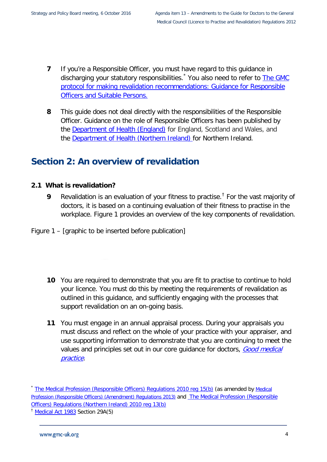- **7** If you're a Responsible Officer, you must have regard to this quidance in discharging your statutory responsibilities.<sup>[\\*](#page-6-2)</sup> You also need to refer to The GMC [protocol for making revalidation recommendations: Guidance for Responsible](http://www.gmc-uk.org/static/documents/content/RT_-_Responsible_officer_protocol_-_DC7510.pdf)  [Officers and Suitable Persons.](http://www.gmc-uk.org/static/documents/content/RT_-_Responsible_officer_protocol_-_DC7510.pdf)
- **8** This guide does not deal directly with the responsibilities of the Responsible Officer. Guidance on the role of Responsible Officers has been published by the **Department of Health (England)** for England, Scotland and Wales, and the [Department of Health \(Northern Ireland\)](https://www.health-ni.gov.uk/) for Northern Ireland.

## <span id="page-6-0"></span>**Section 2: An overview of revalidation**

#### <span id="page-6-1"></span>**2.1 What is revalidation?**

- **9** Revalidation is an evaluation of your fitness to practise.[†](#page-6-3) For the vast majority of doctors, it is based on a continuing evaluation of their fitness to practise in the workplace. Figure 1 provides an overview of the key components of revalidation.
- Figure 1 [graphic to be inserted before publication]
	- **10** You are required to demonstrate that you are fit to practise to continue to hold your licence. You must do this by meeting the requirements of revalidation as outlined in this guidance, and sufficiently engaging with the processes that support revalidation on an on-going basis.
	- **11** You must engage in an annual appraisal process. During your appraisals you must discuss and reflect on the whole of your practice with your appraiser, and use [supporting information](http://www.gmc-uk.org/doctors/revalidation/9226.asp) to demonstrate that you are continuing to meet the values and principles set out in our core guidance for doctors, Good medical [practice](http://www.gmc-uk.org/guidance/good_medical_practice.asp).

<span id="page-6-2"></span><sup>&</sup>lt;sup>\*</sup> [The Medical Profession \(Responsible Officers\) Regulations 2010](http://www.legislation.gov.uk/ukdsi/2010/9780111500286/regulation/15) reg 15(b) (as amended by Medical [Profession \(Responsible Officers\) \(Amendment\) Regulations 2013\)](http://www.legislation.gov.uk/uksi/2013/391/contents/made) and [The Medical Profession \(Responsible](https://www.health-ni.gov.uk/sites/default/files/publications/dhssps/ro-regulations-ni.pdf)  [Officers\) Regulations \(Northern Ireland\) 2010](https://www.health-ni.gov.uk/sites/default/files/publications/dhssps/ro-regulations-ni.pdf) [reg 13\(b\)](https://www.health-ni.gov.uk/sites/default/files/publications/dhssps/ro-regulations-ni.pdf)

<span id="page-6-3"></span><sup>&</sup>lt;sup>†</sup> [Medical Act 1983](http://www.gmc-uk.org/about/legislation/medical_act.asp) Section 29A(5)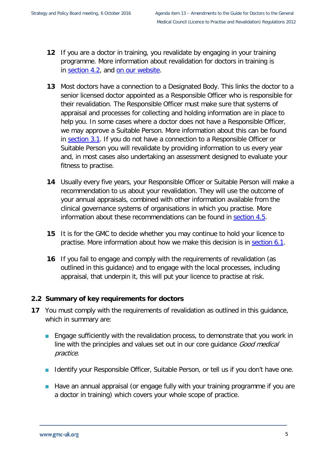- **12** If you are a doctor in training, you revalidate by engaging in your training programme. More information about revalidation for doctors in training is in [section](#page-15-0) 4.2, and [on our website.](http://www.gmc-uk.org/doctors/revalidation/12383.asp)
- **13** Most doctors have a connection to a Designated Body. This links the doctor to a senior licensed doctor appointed as a [Responsible Officer](http://www.gmc-uk.org/doctors/revalidation/12387.asp) who is responsible for their revalidation. The Responsible Officer must make sure that systems of appraisal and processes for collecting and holding information are in place to help you. In some cases where a doctor does not have a Responsible Officer, we may approve a Suitable Person. More information about this can be found in [section 3.1.](#page-10-3) If you do not have a connection to a Responsible Officer or Suitable Person you will revalidate by providing information to us every year and, in most cases also undertaking an assessment designed to evaluate your fitness to practise.
- **14** Usually every five years, your Responsible Officer or Suitable Person will make a recommendation to us about your revalidation. They will use the outcome of your annual appraisals, combined with other information available from the clinical governance systems of organisations in which you practise. More information about these recommendations can be found in [section 4.5.](#page-18-0)
- **15** It is for the GMC to decide whether you may continue to hold your licence to practise. More information about how we make this decision is in [section 6.1.](#page-30-0)
- **16** If you fail to engage and comply with the requirements of revalidation (as outlined in this guidance) and to engage with the local processes, including appraisal, that underpin it, this will put your licence to practise at risk.

#### <span id="page-7-0"></span>**2.2 Summary of key requirements for doctors**

- **17** You must comply with the requirements of revalidation as outlined in this guidance, which in summary are:
	- **Engage sufficiently with the revalidation process, to demonstrate that you work in** line with the principles and values set out in our core guidance Good medical practice.
	- I Identify your Responsible Officer, Suitable Person, or tell us if you don't have one.
	- **Have an annual appraisal (or engage fully with your training programme if you are** a doctor in training) which covers your whole scope of practice.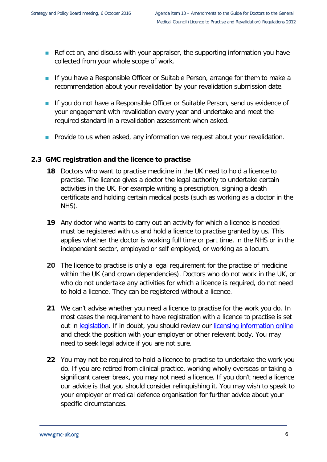- Reflect on, and discuss with your appraiser, the supporting information you have collected from your whole scope of work.
- **If you have a Responsible Officer or Suitable Person, arrange for them to make a** recommendation about your revalidation by your revalidation submission date.
- **If you do not have a Responsible Officer or Suitable Person, send us evidence of** your engagement with revalidation every year and undertake and meet the required standard in a revalidation assessment when asked.
- **Provide to us when asked, any information we request about your revalidation.**

#### <span id="page-8-0"></span>**2.3 GMC registration and the licence to practise**

- **18** Doctors who want to practise medicine in the UK need to hold a licence to practise. The licence gives a doctor the legal authority to undertake certain activities in the UK. For example writing a prescription, signing a death certificate and holding certain medical posts (such as working as a doctor in the NHS).
- **19** Any doctor who wants to carry out an activity for which a licence is needed must be registered with us and hold a licence to practise granted by us. This applies whether the doctor is working full time or part time, in the NHS or in the independent sector, employed or self employed, or working as a locum.
- **20** [The licence to practise is](http://www.gmc-uk.org/about/legislation/registration_legislation.asp) only a legal requirement for the practise of medicine within the UK (and crown dependencies). Doctors who do not work in the UK, or who do not undertake any activities for which a licence is required, do not need to hold a licence. They can be registered without a licence.
- **21** We can't advise whether you need a licence to practise for the work you do. In most cases the requirement to have registration with a licence to practise is set out in [legislation.](http://www.gmc-uk.org/about/legislation/registration_legislation.asp#lic_to_prac) If in doubt, you should review our [licensing information online](http://www.gmc-uk.org/doctors/licensing.asp) and check the position with your employer or other relevant body. You may need to seek legal advice if you are not sure.
- **22** You may not be required to hold a licence to practise to undertake the work you do. If you are retired from clinical practice, working wholly overseas or taking a significant career break, you may not need a licence. If you don't need a licence our advice is that you should consider relinquishing it. You may wish to speak to your employer or medical defence organisation for further advice about your specific circumstances.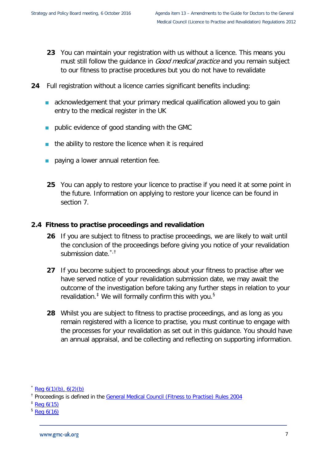- **23** You can maintain your registration with us without a licence. This means you must still follow the guidance in *Good medical practice* and you remain subject to our fitness to practise procedures but you do not have to revalidate
- **24** Full registration without a licence carries significant benefits including:
	- **a** acknowledgement that your primary medical qualification allowed you to gain entry to the medical register in the UK
	- public evidence of good standing with the GMC
	- the ability to restore the licence when it is required
	- paying a lower annual retention fee.
	- **25** You can apply to restore your licence to practise if you need it at some point in the future. [Information on applying to restore your licence](http://www.gmc-uk.org/doctors/registration_applications/apply_for_licence_p1.asp) can be found in section 7.

#### <span id="page-9-0"></span>**2.4 Fitness to practise proceedings and revalidation**

- **26** If you are subject to fitness to practise proceedings, we are likely to wait until the conclusion of the proceedings before giving you notice of your revalidation submission date.<sup>[\\*](#page-9-1),[†](#page-9-2)</sup>
- **27** If you become subject to proceedings about your fitness to practise after we have served notice of your revalidation submission date, we may await the outcome of the investigation before taking any further steps in relation to your revalidation.<sup> $\ddagger$ </sup> We will formally confirm this with you.<sup>[§](#page-9-4)</sup>
- **28** Whilst you are subject to fitness to practise proceedings, and as long as you remain registered with a licence to practise, you must continue to engage with the processes for your revalidation as set out in this guidance. You should have an annual appraisal, and be collecting and reflecting on supporting information.

<span id="page-9-4"></span> $$$  [Reg 6\(16\)](http://www.gmc-uk.org/LTP_and_Revalidation_Regs_Consolidated_2015.pdf_63947176.pdf)

<span id="page-9-1"></span> $\text{Re}q \; 6(1)(b)$ , 6(2)(b)

<span id="page-9-2"></span><sup>&</sup>lt;sup>†</sup> Proceedings is defined in the [General Medical Council \(Fitness to Practise\) Rules](http://www.gmc-uk.org/about/legislation/ftp_legislation.asp) 2004

<span id="page-9-3"></span> $\frac{1}{2}$  [Reg 6\(15\)](http://www.gmc-uk.org/LTP_and_Revalidation_Regs_Consolidated_2015.pdf_63947176.pdf)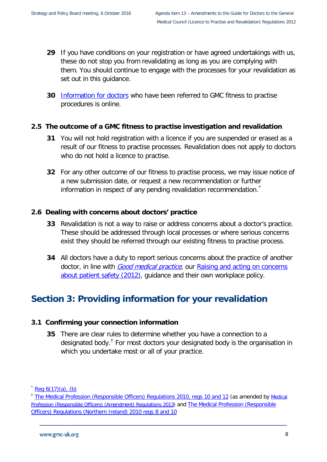- **29** If you have conditions on your registration or have agreed undertakings with us, these do not stop you from revalidating as long as you are complying with them. You should continue to engage with the processes for your revalidation as set out in this guidance.
- **30** [Information for doctors](http://www.gmc-uk.org/concerns/doctors_under_investigation.asp) who have been referred to GMC fitness to practise procedures is online.

#### <span id="page-10-0"></span>**2.5 The outcome of a GMC fitness to practise investigation and revalidation**

- **31** You will not hold registration with a licence if you are suspended or erased as a result of our fitness to practise processes. Revalidation does not apply to doctors who do not hold a licence to practise.
- **32** For any other outcome of our fitness to practise process, we may issue notice of a new submission date, or request a new recommendation or further information in respect of any pending revalidation recommendation.

#### <span id="page-10-1"></span>**2.6 Dealing with concerns about doctors' practice**

- **33** Revalidation is not a way to raise or address concerns about a doctor's practice. These should be addressed through local processes or where serious concerns exist they should be referred through our existing fitness to practise process.
- **34** All doctors have a duty to report serious concerns about the practice of another doctor, in line with **[Good medical practice](http://www.gmc-uk.org/guidance/good_medical_practice.asp)**, our Raising and acting on concerns [about patient safety \(2012\),](http://www.gmc-uk.org/guidance/ethical_guidance/11860.asp) guidance and their own workplace policy.

## <span id="page-10-2"></span>**Section 3: Providing information for your revalidation**

#### <span id="page-10-3"></span>**3.1 Confirming your connection information**

**35** There are clear rules to determine whether you have a connection to a designated body.[†](#page-10-5) For most doctors your designated body is the organisation in which you undertake most or all of your practice.

 $*$  Reg  $6(17)(a)$ , (b)

<span id="page-10-5"></span><span id="page-10-4"></span><sup>&</sup>lt;sup>†</sup> [The Medical Profession \(Responsible Officers\) Regulations 2010, regs 10 and 12](http://www.legislation.gov.uk/ukdsi/2010/9780111500286/contents) (as amended by Medical [Profession \(Responsible Officers\) \(Amendment\) Regulations 2013\)](http://www.legislation.gov.uk/uksi/2013/391/contents/made) and [The Medical Profession \(Responsible](https://www.health-ni.gov.uk/sites/default/files/publications/dhssps/ro-regulations-ni.pdf)  [Officers\) Regulations \(Northern Ireland\) 2010](https://www.health-ni.gov.uk/sites/default/files/publications/dhssps/ro-regulations-ni.pdf) [regs 8 and 10](https://www.health-ni.gov.uk/sites/default/files/publications/dhssps/ro-regulations-ni.pdf)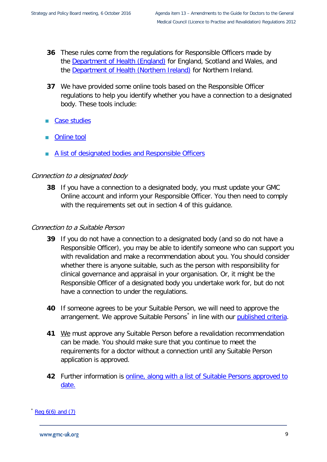- **36** These rules come from the regulations for Responsible Officers made by the [Department of Health \(England\)](http://www.dh.gov.uk/en/Managingyourorganisation/Responsibleofficers/index.htm) for England, Scotland and Wales, and the [Department of Health \(Northern Ireland\)](https://www.health-ni.gov.uk/) for Northern Ireland.
- **37** We have provided some online tools based on the Responsible Officer regulations to help you identify whether you have a connection to a designated body. These tools include:
- [Case studies](http://www.gmc-uk.org/doctors/revalidation/12390.asp)
- [Online tool](http://www.gmc-uk.org/doctors/revalidation/designated_body_tool.asp)
- [A list of designated bodies](http://www.gmc-uk.org/help/list_of_designated_bodies.htm) and Responsible Officers

#### Connection to a designated body

**38** If you have a connection to a designated body, you must update your GMC Online account and inform your Responsible Officer. You then need to comply with the requirements set out in [section 4](#page-13-0) of this guidance.

#### Connection to a Suitable Person

- **39** If you do not have a connection to a designated body (and so do not have a Responsible Officer), you may be able to identify someone who can support you with revalidation and make a recommendation about you. You should consider whether there is anyone suitable, such as the person with responsibility for clinical governance and appraisal in your organisation. Or, it might be the Responsible Officer of a designated body you undertake work for, but do not have a connection to under the regulations.
- **40** If someone agrees to be your Suitable Person, we will need to approve the arrangement. We approve Suitable Persons<sup>[\\*](#page-11-0)</sup> in line with our [published criteria.](http://www.gmc-uk.org/doctors/revalidation/14174.asp)
- **41** We must approve any Suitable Person before a revalidation recommendation can be made. You should make sure that you continue to meet the requirements for a doctor without a connection until any Suitable Person application is approved.
- **42** Further information is online, [along with a list of Suitable Persons approved to](http://www.gmc-uk.org/doctors/revalidation/20386.asp)  [date.](http://www.gmc-uk.org/doctors/revalidation/20386.asp)

#### <span id="page-11-0"></span> $\text{Req } 6(6) \text{ and } (7)$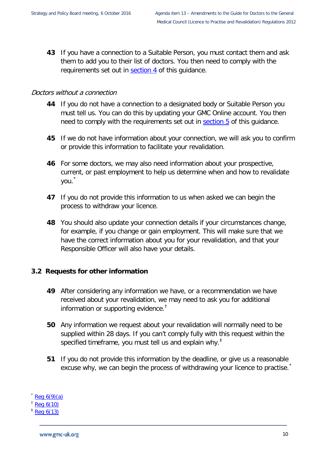**43** If you have a connection to a Suitable Person, you must contact them and ask them to add you to their list of doctors. You then need to comply with the requirements set out in [section 4](#page-13-0) of this guidance.

#### Doctors without a connection

- **44** If you do not have a connection to a designated body or Suitable Person you must tell us. You can do this by updating your GMC Online account. You then need to comply with the requirements set out in [section 5](#page-21-0) of this guidance.
- **45** If we do not have information about your connection, we will ask you to confirm or provide this information to facilitate your revalidation.
- **46** For some doctors, we may also need information about your prospective, current, or past employment to help us determine when and how to revalidate you. [\\*](#page-12-1)
- **47** If you do not provide this information to us when asked we can begin the process to withdraw your licence.
- **48** You should also update your connection details if your circumstances change, for example, if you change or gain employment. This will make sure that we have the correct information about you for your revalidation, and that your Responsible Officer will also have your details.

#### <span id="page-12-0"></span>**3.2 Requests for other information**

- **49** After considering any information we have, or a recommendation we have received about your revalidation, we may need to ask you for additional information or supporting evidence.[†](#page-12-2)
- **50** Any information we request about your revalidation will normally need to be supplied within 28 days. If you can't comply fully with this request within the specified timeframe, you must tell us and explain why.<sup> $\ddagger$ </sup>
- **51** If you do not provide this information by the deadline, or give us a reasonable excuse why, we can begin the process of withdrawing your licence to practise.

<span id="page-12-1"></span> $\text{Re}q \; 6(9)(a)$ 

<span id="page-12-2"></span> $\frac{1}{2}$  [Reg 6\(10\)](http://www.gmc-uk.org/LtP_and_Reval_Regs_2012.pdf_50435434.pdf)

<span id="page-12-3"></span>[Reg 6\(13\)](http://www.gmc-uk.org/LtP_and_Reval_Regs_2012.pdf_50435434.pdf)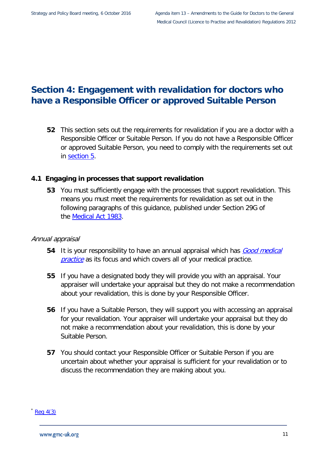### <span id="page-13-0"></span>**Section 4: Engagement with revalidation for doctors who have a Responsible Officer or approved Suitable Person**

**52** This section sets out the requirements for revalidation if you are a doctor with a Responsible Officer or Suitable Person. If you do not have a Responsible Officer or approved Suitable Person, you need to comply with the requirements set out in [section 5.](#page-21-0)

#### <span id="page-13-1"></span>**4.1 Engaging in processes that support revalidation**

**53** You must sufficiently engage with the processes that support revalidation. This means you must meet the requirements for revalidation as set out in the following paragraphs of this guidance, published under Section 29G of the [Medical Act 1983.](http://www.gmc-uk.org/about/legislation/medical_act.asp)

#### Annual appraisal

- **54** It is your responsibility to have an annual appraisal which has *Good medical* [practice](http://www.gmc-uk.org/guidance/good_medical_practice.asp) as its focus and which covers all of your medical practice.
- **55** If you have a designated body they will provide you with an appraisal. Your appraiser will undertake your appraisal but they do not make a recommendation about your revalidation, this is done by your Responsible Officer.
- **56** If you have a Suitable Person, they will support you with accessing an appraisal for your revalidation. Your appraiser will undertake your appraisal but they do not make a recommendation about your revalidation, this is done by your Suitable Person.
- **57** You should contact your Responsible Officer or Suitable Person if you are uncertain about whether your appraisal is sufficient for your revalidation or to discuss the recommendation they are making about you.

 $Req$  4(3)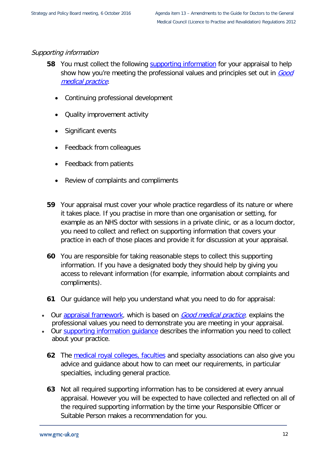#### Supporting information

- **58** You must collect the following [supporting information](http://www.gmc-uk.org/doctors/revalidation/revalidation_information.asp) for your appraisal to help show how you're meeting the professional values and principles set out in Good [medical practice](http://www.gmc-uk.org/guidance/good_medical_practice.asp).
	- Continuing professional development
	- Quality improvement activity
	- Significant events
	- Feedback from colleagues
	- Feedback from patients
	- Review of complaints and compliments
- **59** Your appraisal must cover your whole practice regardless of its nature or where it takes place. If you practise in more than one organisation or setting, for example as an NHS doctor with sessions in a private clinic, or as a locum doctor, you need to collect and reflect on supporting information that covers your practice in each of those places and provide it for discussion at your appraisal.
- **60** You are responsible for taking reasonable steps to collect this supporting information. If you have a designated body they should help by giving you access to relevant information (for example, information about complaints and compliments).
- **61** Our guidance will help you understand what you need to do for appraisal:
- Our [appraisal framework,](http://www.gmc-uk.org/doctors/revalidation/revalidation_gmp_framework.asp) which is based on **[Good medical practice](http://www.gmc-uk.org/guidance/good_medical_practice.asp)**, explains the professional values you need to demonstrate you are meeting in your appraisal.
- Our [supporting information guidance](http://www.gmc-uk.org/doctors/revalidation/revalidation_information.asp) describes the information you need to collect about your practice.
	- **62** The [medical royal colleges, faculties](http://www.gmc-uk.org/doctors/revalidation/12401.asp) and specialty associations can also give you advice and guidance about how to can meet our requirements, in particular specialties, including general practice.
	- **63** Not all required supporting information has to be considered at every annual appraisal. However you will be expected to have collected and reflected on all of the required supporting information by the time your Responsible Officer or Suitable Person makes a recommendation for you.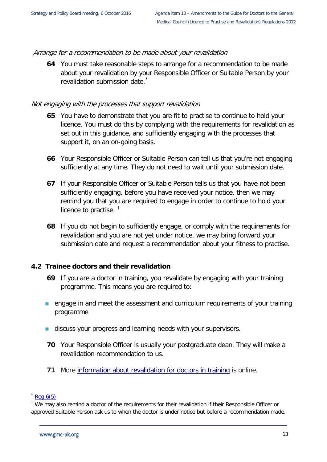#### Arrange for a recommendation to be made about your revalidation

**64** You must take reasonable steps to arrange for a recommendation to be made about your revalidation by your Responsible Officer or Suitable Person by your revalidation submission date.<sup>[\\*](#page-15-1)</sup>

#### Not engaging with the processes that support revalidation

- **65** You have to demonstrate that you are fit to practise to continue to hold your licence. You must do this by complying with the requirements for revalidation as set out in this guidance, and sufficiently engaging with the processes that support it, on an on-going basis.
- **66** Your Responsible Officer or Suitable Person can tell us that you're not engaging sufficiently at any time. They do not need to wait until your submission date.
- **67** If your Responsible Officer or Suitable Person tells us that you have not been sufficiently engaging, before you have received your notice, then we may remind you that you are required to engage in order to continue to hold your licence to practise.  $<sup>†</sup>$  $<sup>†</sup>$  $<sup>†</sup>$ </sup>
- **68** If you do not begin to sufficiently engage, or comply with the requirements for revalidation and you are not yet under notice, we may bring forward your submission date and request a recommendation about your fitness to practise.

#### <span id="page-15-0"></span>**4.2 Trainee doctors and their revalidation**

- **69** If you are a doctor in training, you revalidate by engaging with your training programme. This means you are required to:
- **EXT** engage in and meet the assessment and curriculum requirements of your training programme
- discuss your progress and learning needs with your supervisors.
- **70** Your Responsible Officer is usually your postgraduate dean. They will make a revalidation recommendation to us.
- **71** More [information about revalidation for doctors in traini](http://www.gmc-uk.org/doctors/revalidation/12383.asp)ng is online.

<span id="page-15-1"></span> $k$  Reg  $6(5)$ 

<span id="page-15-2"></span><sup>&</sup>lt;sup>†</sup> We may also remind a doctor of the requirements for their revalidation if their Responsible Officer or approved Suitable Person ask us to when the doctor is under notice but before a recommendation made.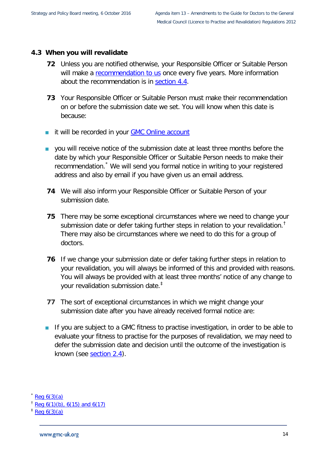#### <span id="page-16-0"></span>**4.3 When you will revalidate**

- **72** Unless you are notified otherwise, your Responsible Officer or Suitable Person will make a [recommendation to us](http://www.gmc-uk.org/FINAL_Responsible_Officer_Recommendation_Statements_16.08.2012.pdf_49621017.pdf) once every five years. More information about the recommendation is in [section 4.4.](#page-17-2)
- **73** Your Responsible Officer or Suitable Person must make their recommendation on or before the submission date we set. You will know when this date is because:
- it will be recorded in your **GMC Online account**
- vou will receive notice of the submission date at least three months before the date by which your Responsible Officer or Suitable Person needs to make their recommendation.<sup>[\\*](#page-16-1)</sup> We will send you formal notice in writing to your registered address and also by email if you have given us an email address.
- **74** We will also inform your Responsible Officer or Suitable Person of your submission date.
- **75** There may be some exceptional circumstances where we need to change your submission date or defer taking further steps in relation to your revalidation.<sup>[†](#page-16-2)</sup> There may also be circumstances where we need to do this for a group of doctors.
- **76** If we change your submission date or defer taking further steps in relation to your revalidation, you will always be informed of this and provided with reasons. You will always be provided with at least three months' notice of any change to your revalidation submission date.[‡](#page-16-3)
- **77** The sort of exceptional circumstances in which we might change your submission date after you have already received formal notice are:
- If you are subject to a GMC fitness to practise investigation, in order to be able to evaluate your fitness to practise for the purposes of revalidation, we may need to defer the submission date and decision until the outcome of the investigation is known (see [section 2.4\)](#page-9-0).

<span id="page-16-1"></span> $Req 6(3)(a)$ 

<span id="page-16-2"></span> $^{\dagger}$  [Reg 6\(1\)\(b\), 6\(15\) and 6\(17\)](http://www.gmc-uk.org/LtP_and_Reval_Regs_2012.pdf_50435434.pdf)

<span id="page-16-3"></span> $\pm$  [Reg 6\(3\)\(a\)](http://www.gmc-uk.org/LtP_and_Reval_Regs_2012.pdf_50435434.pdf)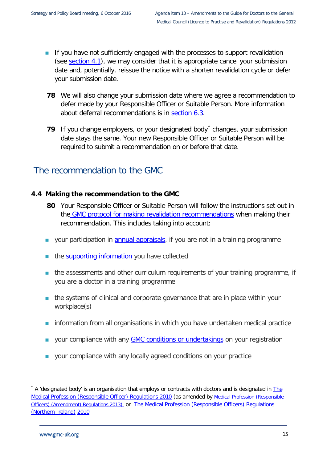- If you have not sufficiently engaged with the processes to support revalidation (see section  $4.1$ ), we may consider that it is appropriate cancel your submission date and, potentially, reissue the notice with a shorten revalidation cycle or defer your submission date.
- **78** We will also change your submission date where we agree a recommendation to defer made by your Responsible Officer or Suitable Person. More information about deferral recommendations is in [section 6.3.](#page-31-1)
- **79** If you change employers, or your designated body changes, your submission date stays the same. Your new Responsible Officer or Suitable Person will be required to submit a recommendation on or before that date.

## <span id="page-17-2"></span><span id="page-17-0"></span>The recommendation to the GMC

#### <span id="page-17-1"></span>**4.4 Making the recommendation to the GMC**

- **80** Your Responsible Officer or Suitable Person will follow the instructions set out in the [GMC protocol for making revalidation recommendations](http://www.gmc-uk.org/doctors/revalidation/13631.asp) when making their recommendation. This includes taking into account:
- **vour participation in [annual appraisals,](http://www.gmc-uk.org/doctors/revalidation/12386.asp) if you are not in a training programme**
- the **supporting information** you have collected
- **the assessments and other curriculum requirements of your training programme, if** you are a doctor in a training programme
- **the systems of clinical and corporate governance that are in place within your** workplace(s)
- information from all organisations in which you have undertaken medical practice
- your compliance with any [GMC conditions or undertakings](http://www.gmc-uk.org/concerns/hearings_and_decisions/sanctions_referrals_guidance.asp) on your registration
- **v** your compliance with any locally agreed conditions on your practice

<span id="page-17-3"></span> $*$  A 'designated body' is an organisation that employs or contracts with doctors and is designated in  $The$ [Medical Profession \(Responsible Officer\) Regulations 2010](http://www.legislation.gov.uk/uksi/2010/2841/introduction/made) (as amended by [Medical Profession \(Responsible](http://www.legislation.gov.uk/uksi/2013/391/contents/made)  [Officers\) \(Amendment\) Regulations 2013\)](http://www.legislation.gov.uk/uksi/2013/391/contents/made) or [The Medical Profession \(Responsible Officers\) Regulations](https://www.health-ni.gov.uk/sites/default/files/publications/dhssps/ro-regulations-ni.pdf)  [\(Northern Ireland\)](https://www.health-ni.gov.uk/sites/default/files/publications/dhssps/ro-regulations-ni.pdf) [2010](https://www.health-ni.gov.uk/sites/default/files/publications/dhssps/ro-regulations-ni.pdf)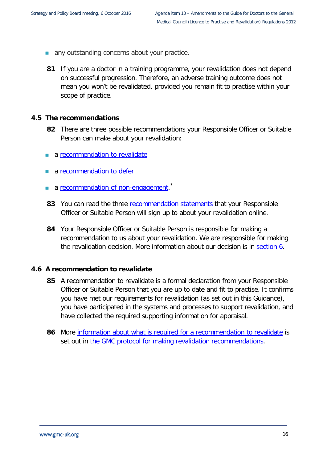- any outstanding concerns about your practice.
- **81** If you are a doctor in a training programme, your revalidation does not depend on successful progression. Therefore, an adverse training outcome does not mean you won't be revalidated, provided you remain fit to practise within your scope of practice.

#### <span id="page-18-0"></span>**4.5 The recommendations**

- **82** There are three possible recommendations your Responsible Officer or Suitable Person can make about your revalidation:
- **a** [recommendation to revalidate](http://www.gmc-uk.org/doctors/revalidation/13645.asp)
- a [recommendation to defer](http://www.gmc-uk.org/doctors/revalidation/13691.asp)
- a [recommendation of non-engagement.](http://www.gmc-uk.org/doctors/revalidation/13646.asp)<sup>[\\*](#page-18-2)</sup>
- **83** You can read the three [recommendation statements](http://www.gmc-uk.org/RT___Responsible_officer_recommendation_statements___DC7263.pdf_61017155.pdf) that your Responsible Officer or Suitable Person will sign up to about your revalidation online.
- **84** Your Responsible Officer or Suitable Person is responsible for making a recommendation to us about your revalidation. We are responsible for making the revalidation decision. More information about our decision is in [section 6.](#page-29-0)

#### <span id="page-18-1"></span>**4.6 A recommendation to revalidate**

- **85** A recommendation to revalidate is a formal declaration from your Responsible Officer or Suitable Person that you are up to date and fit to practise. It confirms you have met our requirements for revalidation (as set out in this Guidance), you have participated in the systems and processes to support revalidation, and have collected the required supporting information for appraisal.
- <span id="page-18-2"></span>**86** More [information about what is required for a recommendation](http://www.gmc-uk.org/doctors/revalidation/13645.asp) to revalidate is set out in [the GMC protocol for making revalidation recommendations.](http://www.gmc-uk.org/doctors/revalidation/13645.asp)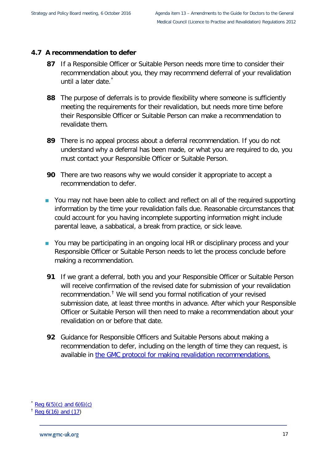#### <span id="page-19-0"></span>**4.7 A recommendation to defer**

- **87** If a Responsible Officer or Suitable Person needs more time to consider their recommendation about you, they may recommend deferral of your revalidation until a later date.<sup>[\\*](#page-19-1)</sup>
- **88** The purpose of deferrals is to provide flexibility where someone is sufficiently meeting the requirements for their revalidation, but needs more time before their Responsible Officer or Suitable Person can make a recommendation to revalidate them.
- **89** There is no appeal process about a deferral recommendation. If you do not understand why a deferral has been made, or what you are required to do, you must contact your Responsible Officer or Suitable Person.
- **90** There are two reasons why we would consider it appropriate to accept a recommendation to defer.
- You may not have been able to collect and reflect on all of the required supporting information by the time your revalidation falls due. Reasonable circumstances that could account for you having incomplete supporting information might include parental leave, a sabbatical, a break from practice, or sick leave.
- You may be participating in an ongoing local HR or disciplinary process and your Responsible Officer or Suitable Person needs to let the process conclude before making a recommendation.
- **91** If we grant a deferral, both you and your Responsible Officer or Suitable Person will receive confirmation of the revised date for submission of your revalidation recommendation.[†](#page-19-2) We will send you formal notification of your revised submission date, at least three months in advance. After which your Responsible Officer or Suitable Person will then need to make a recommendation about your revalidation on or before that date.
- **92** Guidance for Responsible Officers and Suitable Persons about making a recommendation to defer, including on the length of time they can request, is available in [the GMC protocol for making revalidation recommendations.](http://www.gmc-uk.org/doctors/revalidation/13690.asp)

<span id="page-19-1"></span> $Reg 6(5)(c)$  and  $6(6)(c)$ 

<span id="page-19-2"></span> $^{\dagger}$  [Reg 6\(16\) and \(17\)](http://www.gmc-uk.org/LTP_and_Revalidation_Regs_Consolidated_2015.pdf_63947176.pdf)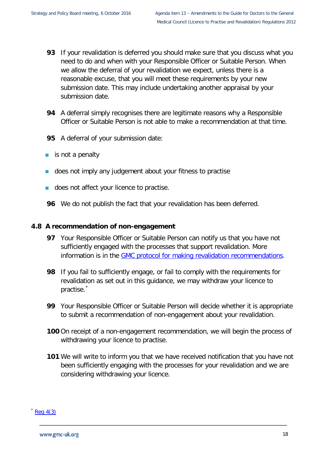- **93** If your revalidation is deferred you should make sure that you discuss what you need to do and when with your Responsible Officer or Suitable Person. When we allow the deferral of your revalidation we expect, unless there is a reasonable excuse, that you will meet these requirements by your new submission date. This may include undertaking another appraisal by your submission date.
- **94** A deferral simply recognises there are legitimate reasons why a Responsible Officer or Suitable Person is not able to make a recommendation at that time.
- **95** A deferral of your submission date:
- is not a penalty
- does not imply any judgement about your fitness to practise
- does not affect your licence to practise.
- **96** We do not publish the fact that your revalidation has been deferred.

#### <span id="page-20-0"></span>**4.8 A recommendation of non-engagement**

- **97** Your Responsible Officer or Suitable Person can notify us that you have not sufficiently engaged with the processes that support revalidation. More information is in the [GMC protocol for making revalidation recommendations.](http://www.gmc-uk.org/doctors/revalidation/13691.asp)
- **98** If you fail to sufficiently engage, or fail to comply with the requirements for revalidation as set out in this guidance, we may withdraw your licence to practise.<sup>[\\*](#page-20-1)</sup>
- **99** Your Responsible Officer or Suitable Person will decide whether it is appropriate to submit a recommendation of non-engagement about your revalidation.
- **100** On receipt of a non-engagement recommendation, we will begin the process of withdrawing your licence to practise.
- **101** We will write to inform you that we have received notification that you have not been sufficiently engaging with the processes for your revalidation and we are considering withdrawing your licence.

<span id="page-20-1"></span> $k$  [Reg 4\(3\)](http://www.gmc-uk.org/LTP_and_Revalidation_Regs_Consolidated_2015.pdf_63947176.pdf)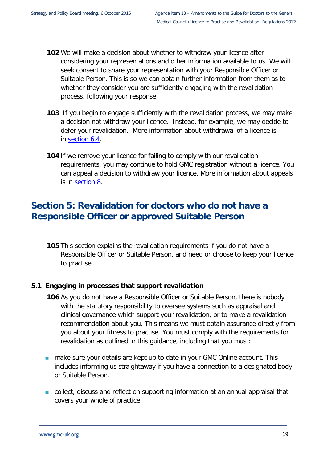- **102** We will make a decision about whether to withdraw your licence after considering your representations and other information available to us. We will seek consent to share your representation with your Responsible Officer or Suitable Person. This is so we can obtain further information from them as to whether they consider you are sufficiently engaging with the revalidation process, following your response.
- **103** If you begin to engage sufficiently with the revalidation process, we may make a decision not withdraw your licence. Instead, for example, we may decide to defer your revalidation. More information about withdrawal of a licence is in [section 6.4.](#page-31-2)
- **104** If we remove your licence for failing to comply with our revalidation requirements, you may continue to hold GMC registration without a licence. You can appeal a decision to withdraw your licence. More information about appeals is in [section 8.](#page-35-0)

## <span id="page-21-0"></span>**Section 5: Revalidation for doctors who do not have a Responsible Officer or approved Suitable Person**

**105** This section explains the revalidation requirements if you do not have a Responsible Officer or Suitable Person, and need or choose to keep your licence to practise.

#### <span id="page-21-1"></span>**5.1 Engaging in processes that support revalidation**

- **106** As you do not have a Responsible Officer or Suitable Person, there is nobody with the statutory responsibility to oversee systems such as appraisal and clinical governance which support your revalidation, or to make a revalidation recommendation about you. This means we must obtain assurance directly from you about your fitness to practise. You must comply with the requirements for revalidation as outlined in this guidance, including that you must:
- **numake sure your details are kept up to date in your GMC Online account. This** includes informing us straightaway if you have a connection to a designated body or Suitable Person.
- **DED** collect, discuss and reflect on supporting information at an annual appraisal that covers your whole of practice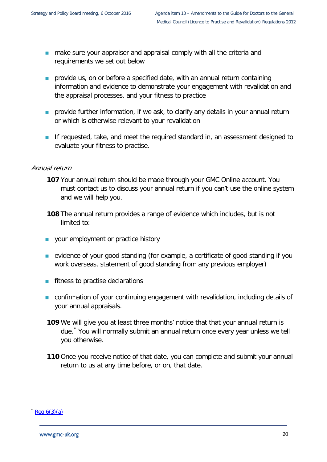- **n** make sure your appraiser and appraisal comply with all the criteria and requirements we set out below
- **provide us, on or before a specified date, with an annual return containing** information and evidence to demonstrate your engagement with revalidation and the appraisal processes, and your fitness to practice
- **Parther information, if we ask, to clarify any details in your annual return** or which is otherwise relevant to your revalidation
- **If requested, take, and meet the required standard in, an assessment designed to** evaluate your fitness to practise.

#### Annual return

- **107** Your annual return should be made through your GMC Online account. You must contact us to discuss your annual return if you can't use the online system and we will help you.
- **108** The annual return provides a range of evidence which includes, but is not limited to:
- **v** your employment or practice history
- **EXECT** evidence of your good standing (for example, a certificate of good standing if you work overseas, statement of good standing from any previous employer)
- **fitness to practise declarations**
- confirmation of your continuing engagement with revalidation, including details of your annual appraisals.
- **109** We will give you at least three months' notice that that your annual return is due.[\\*](#page-22-0) You will normally submit an annual return once every year unless we tell you otherwise.
- **110** Once you receive notice of that date, you can complete and submit your annual return to us at any time before, or on, that date.

#### <span id="page-22-0"></span> $Req 6(3)(a)$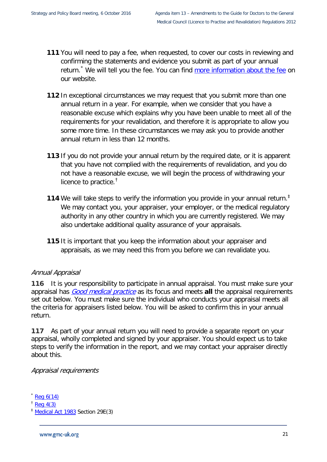- **111** You will need to pay a fee, when requested, to cover our costs in reviewing and confirming the statements and evidence you submit as part of your annual return.<sup>[\\*](#page-23-0)</sup> We will tell you the fee. You can find [more information about the fee](http://www.gmc-uk.org/doctors/fees.asp) on our website.
- **112** In exceptional circumstances we may request that you submit more than one annual return in a year. For example, when we consider that you have a reasonable excuse which explains why you have been unable to meet all of the requirements for your revalidation, and therefore it is appropriate to allow you some more time. In these circumstances we may ask you to provide another annual return in less than 12 months.
- **113** If you do not provide your annual return by the required date, or it is apparent that you have not complied with the requirements of revalidation, and you do not have a reasonable excuse, we will begin the process of withdrawing your licence to practice.<sup>[†](#page-23-1)</sup>
- 114 We will take steps to verify the information you provide in your annual return.<sup>#</sup> We may contact you, your appraiser, your employer, or the medical regulatory authority in any other country in which you are currently registered. We may also undertake additional quality assurance of your appraisals.
- **115** It is important that you keep the information about your appraiser and appraisals, as we may need this from you before we can revalidate you.

#### Annual Appraisal

**116** It is your responsibility to participate in annual appraisal. You must make sure your appraisal has [Good medical practice](http://www.gmc-uk.org/guidance/index.asp) as its focus and meets **all** the appraisal requirements set out below. You must make sure the individual who conducts your appraisal meets all the criteria for appraisers listed below. You will be asked to confirm this in your annual return.

**117** As part of your annual return you will need to provide a separate report on your appraisal, wholly completed and signed by your appraiser. You should expect us to take steps to verify the information in the report, and we may contact your appraiser directly about this.

#### Appraisal requirements

- <span id="page-23-0"></span> $Req$  6(14)
- <span id="page-23-1"></span> $\frac{1}{2}$  [Reg 4\(3\)](http://www.gmc-uk.org/LTP_and_Revalidation_Regs_Consolidated_2015.pdf_63947176.pdfhttp:/www.gmc-uk.org/about/legislation/registration_legislation.asp)

<span id="page-23-2"></span><sup>‡</sup> [Medical Act 1983](http://www.gmc-uk.org/about/legislation/medical_act.asp) Section 29E(3)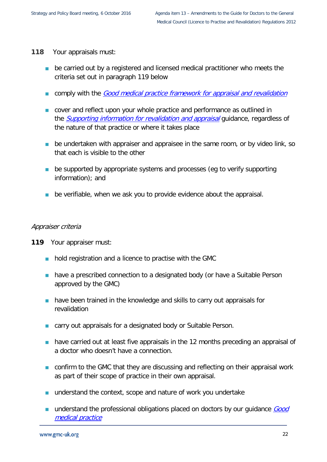- **118** Your appraisals must:
	- **be carried out by a registered and licensed medical practitioner who meets the** criteria set out in paragraph [119](#page-24-0) below
	- **Comply with the [Good medical practice framework for appraisal and revalidation](http://www.gmc-uk.org/doctors/revalidation/revalidation_gmp_framework.asp)**
	- **EX** cover and reflect upon your whole practice and performance as outlined in the **[Supporting information for revalidation and appraisal](http://www.gmc-uk.org/doctors/revalidation/revalidation_information.asp)** guidance, regardless of the nature of that practice or where it takes place
	- **be undertaken with appraiser and appraisee in the same room, or by video link, so** that each is visible to the other
	- **be supported by appropriate systems and processes (eg to verify supporting** information); and
	- **be verifiable, when we ask you to provide evidence about the appraisal.**

#### Appraiser criteria

- <span id="page-24-0"></span>**119** Your appraiser must:
	- **hold registration and a licence to practise with the GMC**
	- **have a prescribed connection to a designated body (or have a Suitable Person** approved by the GMC)
	- **have been trained in the knowledge and skills to carry out appraisals for** revalidation
	- **EXTERNATE:** carry out appraisals for a designated body or Suitable Person.
	- **have carried out at least five appraisals in the 12 months preceding an appraisal of** a doctor who doesn't have a connection.
	- **n** confirm to the GMC that they are discussing and reflecting on their appraisal work as part of their scope of practice in their own appraisal.
	- understand the context, scope and nature of work you undertake
	- understand the professional obligations placed on doctors by our guidance *Good* [medical practice](http://www.gmc-uk.org/guidance/index.asp)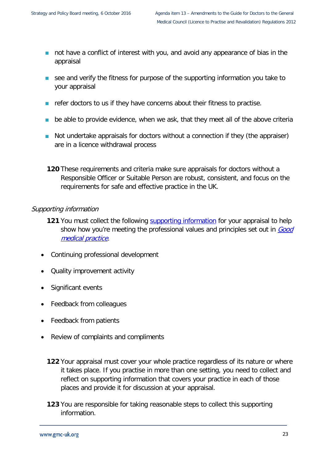- not have a conflict of interest with you, and avoid any appearance of bias in the appraisal
- see and verify the fitness for purpose of the supporting information you take to your appraisal
- $\blacksquare$  refer doctors to us if they have concerns about their fitness to practise.
- be able to provide evidence, when we ask, that they meet all of the above criteria
- Not undertake appraisals for doctors without a connection if they (the appraiser) are in a licence withdrawal process
- **120** These requirements and criteria make sure appraisals for doctors without a Responsible Officer or Suitable Person are robust, consistent, and focus on the requirements for safe and effective practice in the UK.

#### Supporting information

- **121** You must collect the following [supporting information](http://www.gmc-uk.org/doctors/revalidation/revalidation_information.asp) for your appraisal to help show how you're meeting the professional values and principles set out in Good [medical practice](http://www.gmc-uk.org/guidance/good_medical_practice.asp).
- Continuing professional development
- Quality improvement activity
- Significant events
- Feedback from colleagues
- Feedback from patients
- Review of complaints and compliments
	- **122** Your appraisal must cover your whole practice regardless of its nature or where it takes place. If you practise in more than one setting, you need to collect and reflect on supporting information that covers your practice in each of those places and provide it for discussion at your appraisal.
	- **123** You are responsible for taking reasonable steps to collect this supporting information.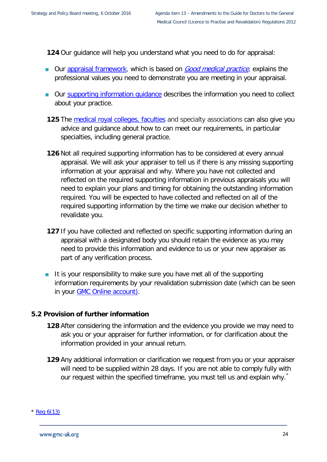**124** Our guidance will help you understand what you need to do for appraisal:

- Our [appraisal framework,](http://www.gmc-uk.org/doctors/revalidation/revalidation_gmp_framework.asp) which is based on [Good medical practice](http://www.gmc-uk.org/guidance/good_medical_practice.asp), explains the professional values you need to demonstrate you are meeting in your appraisal.
- Our supporting information quidance describes the information you need to collect about your practice.
- **125** The [medical royal colleges, faculties](http://www.gmc-uk.org/doctors/revalidation/12401.asp) and specialty associations can also give you advice and guidance about how to can meet our requirements, in particular specialties, including general practice.
- **126** Not all required supporting information has to be considered at every annual appraisal. We will ask your appraiser to tell us if there is any missing supporting information at your appraisal and why. Where you have not collected and reflected on the required supporting information in previous appraisals you will need to explain your plans and timing for obtaining the outstanding information required. You will be expected to have collected and reflected on all of the required supporting information by the time we make our decision whether to revalidate you.
- **127** If you have collected and reflected on specific supporting information during an appraisal with a designated body you should retain the evidence as you may need to provide this information and evidence to us or your new appraiser as part of any verification process.
- It is your responsibility to make sure you have met all of the supporting information requirements by your revalidation submission date (which can be seen in your **GMC** Online account).

#### <span id="page-26-0"></span>**5.2 Provision of further information**

- **128** After considering the information and the evidence you provide we may need to ask you or your appraiser for further information, or for clarification about the information provided in your annual return.
- **129** Any additional information or clarification we request from you or your appraiser will need to be supplied within 28 days. If you are not able to comply fully with our request within the specified timeframe, you must tell us and explain why.

<span id="page-26-1"></span> $*$  [Reg 6\(13\)](http://www.gmc-uk.org/LTP_and_Revalidation_Regs_Consolidated_2015.pdf_63947176.pdfhttp:/www.gmc-uk.org/about/legislation/registration_legislation.asp)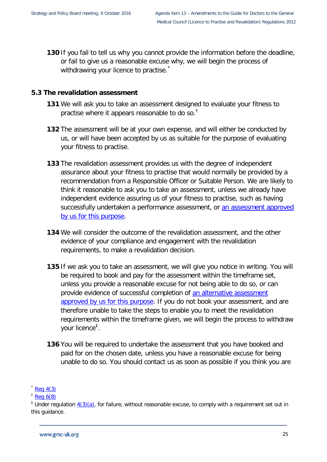**130** If you fail to tell us why you cannot provide the information before the deadline, or fail to give us a reasonable excuse why, we will begin the process of withdrawing your licence to practise.

#### <span id="page-27-0"></span>**5.3 The revalidation assessment**

- **131** We will ask you to take an assessment designed to evaluate your fitness to practise where it appears reasonable to do so.<sup>[†](#page-27-2)</sup>
- **132** The assessment will be at your own expense, and will either be conducted by us, or will have been accepted by us as suitable for the purpose of evaluating your fitness to practise.
- **133** The revalidation assessment provides us with the degree of independent assurance about your fitness to practise that would normally be provided by a recommendation from a Responsible Officer or Suitable Person. We are likely to think it reasonable to ask you to take an assessment, unless we already have independent evidence assuring us of your fitness to practise, such as having successfully undertaken a performance assessment, or [an assessment approved](http://www.gmc-uk.org/RT___Guidance_on_acceptable_UK_Royal_College_and_Faculty_exams_for_revalidation___DC8535.pdf_64328982.pdf)  [by us for this purpose.](http://www.gmc-uk.org/RT___Guidance_on_acceptable_UK_Royal_College_and_Faculty_exams_for_revalidation___DC8535.pdf_64328982.pdf)
- **134** We will consider the outcome of the revalidation assessment, and the other evidence of your compliance and engagement with the revalidation requirements, to make a revalidation decision.
- **135** If we ask you to take an assessment, we will give you notice in writing. You will be required to book and pay for the assessment within the timeframe set, unless you provide a reasonable excuse for not being able to do so, or can provide evidence of successful completion of [an alternative assessment](http://www.gmc-uk.org/RT___Guidance_on_acceptable_UK_Royal_College_and_Faculty_exams_for_revalidation___DC8535.pdf_64328982.pdf)  [approved by us for this purpose.](http://www.gmc-uk.org/RT___Guidance_on_acceptable_UK_Royal_College_and_Faculty_exams_for_revalidation___DC8535.pdf_64328982.pdf) If you do not book your assessment, and are therefore unable to take the steps to enable you to meet the revalidation requirements within the timeframe given, we will begin the process to withdraw your licence<sup>[‡](#page-27-3)</sup>.
- **136** You will be required to undertake the assessment that you have booked and paid for on the chosen date, unless you have a reasonable excuse for being unable to do so. You should contact us as soon as possible if you think you are

<span id="page-27-1"></span> $k$  [Reg 4\(3\)](http://www.gmc-uk.org/LTP_and_Revalidation_Regs_Consolidated_2015.pdf_63947176.pdfhttp:/www.gmc-uk.org/about/legislation/registration_legislation.asp)

<span id="page-27-2"></span> $<sup>†</sup>$  [Reg 6\(8\)](http://www.gmc-uk.org/LTP_and_Revalidation_Regs_Consolidated_2015.pdf_63947176.pdfhttp:/www.gmc-uk.org/about/legislation/registration_legislation.asp)</sup>

<span id="page-27-3"></span> $^{\ddagger}$  Under regulation  $4(3)(a)$ , for failure, without reasonable excuse, to comply with a requirement set out in this guidance.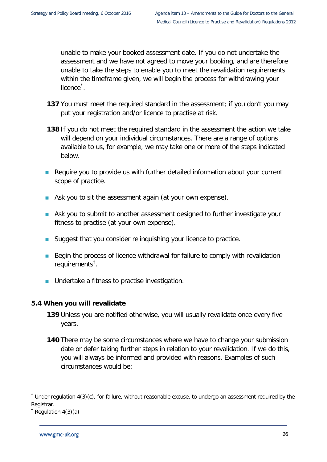unable to make your booked assessment date. If you do not undertake the assessment and we have not agreed to move your booking, and are therefore unable to take the steps to enable you to meet the revalidation requirements within the timeframe given, we will begin the process for withdrawing your licence<sup>[\\*](#page-28-1)</sup>.

- **137** You must meet the required standard in the assessment; if you don't you may put your registration and/or licence to practise at risk.
- **138** If you do not meet the required standard in the assessment the action we take will depend on your individual circumstances. There are a range of options available to us, for example, we may take one or more of the steps indicated below.
- **Require you to provide us with further detailed information about your current** scope of practice.
- Ask you to sit the assessment again (at your own expense).
- **Ask you to submit to another assessment designed to further investigate your** fitness to practise (at your own expense).
- Suggest that you consider relinquishing your licence to practice.
- Begin the process of licence withdrawal for failure to comply with revalidation requirements<sup>[†](#page-28-2)</sup>.
- **Undertake a fitness to practise investigation.**

#### <span id="page-28-0"></span>**5.4 When you will revalidate**

- **139** Unless you are notified otherwise, you will usually revalidate once every five years.
- **140** There may be some circumstances where we have to change your submission date or defer taking further steps in relation to your revalidation. If we do this, you will always be informed and provided with reasons. Examples of such circumstances would be:

<span id="page-28-1"></span><sup>\*</sup> Under regulation 4(3)(c), for failure, without reasonable excuse, to undergo an assessment required by the Registrar.

<span id="page-28-2"></span> $<sup>†</sup>$  Regulation 4(3)(a)</sup>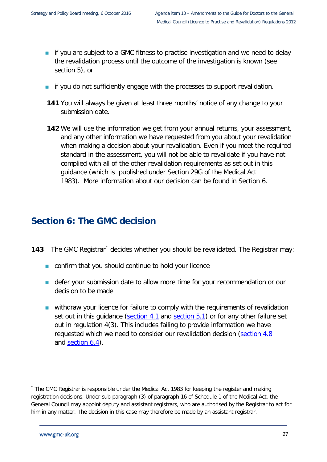- **if you are subject to a GMC fitness to practise investigation and we need to delay** the revalidation process until the outcome of the investigation is known (see section 5), or
- **i** if you do not sufficiently engage with the processes to support revalidation.
- **141** You will always be given at least three months' notice of any change to your submission date.
- **142** We will use the information we get from your annual returns, your assessment, and any other information we have requested from you about your revalidation when making a decision about your revalidation. Even if you meet the required standard in the assessment, you will not be able to revalidate if you have not complied with all of the other revalidation requirements as set out in this guidance (which is published under Section 29G of the Medical Act 1983). More information about our decision can be found in Section 6.

### <span id="page-29-0"></span>**Section 6: The GMC decision**

- **143** The GMC Registrar<sup>[\\*](#page-29-1)</sup> decides whether you should be revalidated. The Registrar may:
	- **n** confirm that you should continue to hold your licence
	- **defer your submission date to allow more time for your recommendation or our** decision to be made
	- withdraw your licence for failure to comply with the requirements of revalidation set out in this quidance [\(section 4.1](#page-13-1) and [section 5.1\)](#page-21-1) or for any other failure set out in regulation 4(3). This includes failing to provide information we have requested which we need to consider our revalidation decision [\(section 4.8](#page-20-0) and [section 6.4\)](#page-31-2).

<span id="page-29-1"></span><sup>\*</sup> The GMC Registrar is responsible under the Medical Act 1983 for keeping the register and making registration decisions. Under sub-paragraph (3) of paragraph 16 of Schedule 1 of the Medical Act, the General Council may appoint deputy and assistant registrars, who are authorised by the Registrar to act for him in any matter. The decision in this case may therefore be made by an assistant registrar.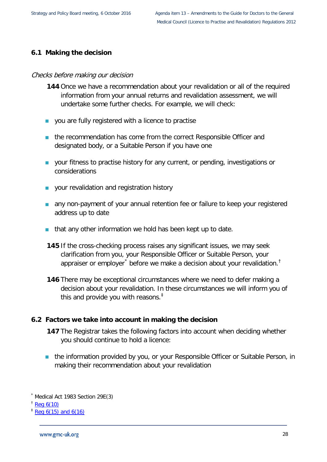#### <span id="page-30-0"></span>**6.1 Making the decision**

#### Checks before making our decision

- **144** Once we have a recommendation about your revalidation or all of the required information from your annual returns and revalidation assessment, we will undertake some further checks. For example, we will check:
- **v** you are fully registered with a licence to practise
- the recommendation has come from the correct Responsible Officer and designated body, or a Suitable Person if you have one
- **vour fitness to practise history for any current, or pending, investigations or** considerations
- **v** your revalidation and registration history
- **a** any non-payment of your annual retention fee or failure to keep your registered address up to date
- that any other information we hold has been kept up to date.
- **145** If the cross-checking process raises any significant issues, we may seek clarification from you, your Responsible Officer or Suitable Person, your appraiser or employer<sup>[\\*](#page-30-2)</sup> before we make a decision about your revalidation.<sup>[†](#page-30-3)</sup>
- **146** There may be exceptional circumstances where we need to defer making a decision about your revalidation. In these circumstances we will inform you of this and provide you with reasons. $<sup>‡</sup>$  $<sup>‡</sup>$  $<sup>‡</sup>$ </sup>

#### <span id="page-30-1"></span>**6.2 Factors we take into account in making the decision**

- **147** The Registrar takes the following factors into account when deciding whether you should continue to hold a licence:
- **the information provided by you, or your Responsible Officer or Suitable Person, in** making their recommendation about your revalidation

<span id="page-30-2"></span>Medical Act 1983 Section 29E(3)

<span id="page-30-3"></span> $\frac{1}{2}$  [Reg 6\(10\)](http://www.gmc-uk.org/LTP_and_Revalidation_Regs_Consolidated_2015.pdf_63947176.pdf)

<span id="page-30-4"></span> $*$  [Reg 6\(15\) and 6\(16\)](http://www.gmc-uk.org/LTP_and_Revalidation_Regs_Consolidated_2015.pdf_63947176.pdf)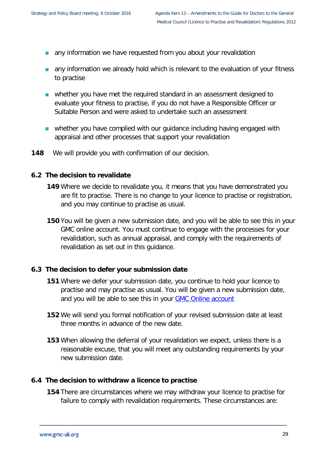- any information we have requested from you about your revalidation
- **a** any information we already hold which is relevant to the evaluation of your fitness to practise
- whether you have met the required standard in an assessment designed to evaluate your fitness to practise, if you do not have a Responsible Officer or Suitable Person and were asked to undertake such an assessment
- **Now whether you have complied with our guidance including having engaged with** appraisal and other processes that support your revalidation
- **148** We will provide you with confirmation of our decision.

#### <span id="page-31-0"></span>**6.2 The decision to revalidate**

- **149** Where we decide to revalidate you, it means that you have demonstrated you are fit to practise. There is no change to your licence to practise or registration, and you may continue to practise as usual.
- **150** You will be given a new submission date, and you will be able to see this in your GMC online account. You must continue to engage with the processes for your revalidation, such as annual appraisal, and comply with the requirements of revalidation as set out in this guidance.

#### <span id="page-31-1"></span>**6.3 The decision to defer your submission date**

- **151** Where we defer your submission date, you continue to hold your licence to practise and may practise as usual. You will be given a new submission date, and you will be able to see this in your **GMC** Online account
- **152** We will send you formal notification of your revised submission date at least three months in advance of the new date.
- **153** When allowing the deferral of your revalidation we expect, unless there is a reasonable excuse, that you will meet any outstanding requirements by your new submission date.

#### <span id="page-31-2"></span>**6.4 The decision to withdraw a licence to practise**

**154** There are circumstances where we may withdraw your licence to practise for failure to comply with revalidation requirements. These circumstances are: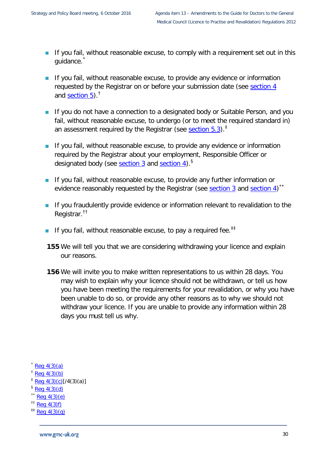- If you fail, without reasonable excuse, to comply with a requirement set out in this quidance.
- If you fail, without reasonable excuse, to provide any evidence or information requested by the Registrar on or before your submission date (see [section 4](#page-13-1) and [section 5\)](#page-21-1).[†](#page-32-1)
- **If you do not have a connection to a designated body or Suitable Person, and you** fail, without reasonable excuse, to undergo (or to meet the required standard in) an assessment required by the Registrar (see [section](#page-27-0)  $5.3$ ).<sup>[‡](#page-32-2)</sup>
- **If you fail, without reasonable excuse, to provide any evidence or information** required by the Registrar about your employment, Responsible Officer or designated body (see [section 3](#page-10-2) and [section 4\)](#page-13-0).[§](#page-32-3)
- If you fail, without reasonable excuse, to provide any further information or evidence reasonably requested by the Registrar (see **section 3** and [section 4\)](#page-13-0)<sup>[\\*\\*](#page-32-4)</sup>
- **If you fraudulently provide evidence or information relevant to revalidation to the** Registrar.[††](#page-32-5)
- If you fail, without reasonable excuse, to pay a required fee.<sup>[‡‡](#page-32-6)</sup>
- **155** We will tell you that we are considering withdrawing your licence and explain our reasons.
- **156** We will invite you to make written representations to us within 28 days. You may wish to explain why your licence should not be withdrawn, or tell us how you have been meeting the requirements for your revalidation, or why you have been unable to do so, or provide any other reasons as to why we should not withdraw your licence. If you are unable to provide any information within 28 days you must tell us why.
- <span id="page-32-0"></span> $Req$  4(3)(a)
- <span id="page-32-1"></span> $\textdegree$  [Reg 4\(3\)\(b\)](http://www.gmc-uk.org/LTP_and_Revalidation_Regs_Consolidated_2015.pdf_63947176.pdf)
- <span id="page-32-2"></span> $\frac{1}{2}$  [Reg 4\(3\)\(c\)\[](http://www.gmc-uk.org/LTP_and_Revalidation_Regs_Consolidated_2015.pdf_63947176.pdf)/4(3)(a)]
- <span id="page-32-3"></span> $\frac{1}{2}$  [Reg 4\(3\)\(d\)](http://www.gmc-uk.org/LTP_and_Revalidation_Regs_Consolidated_2015.pdf_63947176.pdf)
- <span id="page-32-4"></span> $\text{Re}q \ 4(3)(e)$
- <span id="page-32-5"></span> $^{\dagger\dagger}$  [Reg 4\(3\)f\)](http://www.gmc-uk.org/LTP_and_Revalidation_Regs_Consolidated_2015.pdf_63947176.pdf)
- <span id="page-32-6"></span> $^{11}$  [Reg 4\(3\)\(g\)](http://www.gmc-uk.org/LTP_and_Revalidation_Regs_Consolidated_2015.pdf_63947176.pdf)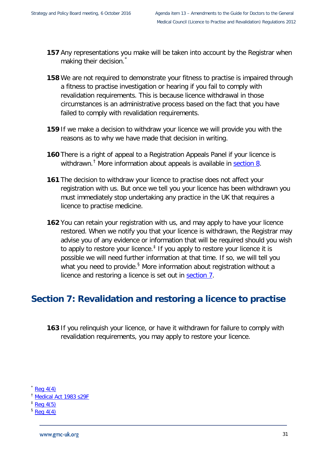- **157** Any representations you make will be taken into account by the Registrar when making their decision.
- **158** We are not required to demonstrate your fitness to practise is impaired through a fitness to practise investigation or hearing if you fail to comply with revalidation requirements. This is because licence withdrawal in those circumstances is an administrative process based on the fact that you have failed to comply with revalidation requirements.
- **159** If we make a decision to withdraw your licence we will provide you with the reasons as to why we have made that decision in writing.
- **160** There is a right of appeal to a Registration Appeals Panel if your licence is withdrawn.<sup>[†](#page-33-2)</sup> More information about appeals is available in **section 8.**
- **161** The decision to withdraw your licence to practise does not affect your registration with us. But once we tell you your licence has been withdrawn you must immediately stop undertaking any practice in the UK that requires a licence to practise medicine.
- **162** You can retain your registration with us, and may apply to have your licence restored. When we notify you that your licence is withdrawn, the Registrar may advise you of any evidence or information that will be required should you wish to apply to restore your licence.<sup> $\ddagger$ </sup> If you apply to restore your licence it is possible we will need further information at that time. If so, we will tell you what you need to provide.<sup>[§](#page-33-4)</sup> More information about registration without a licence and restoring a licence is set out in [section 7.](#page-33-0)

## <span id="page-33-0"></span>**Section 7: Revalidation and restoring a licence to practise**

- **163** If you relinquish your licence, or have it withdrawn for failure to comply with revalidation requirements, you may apply to restore your licence.
- <span id="page-33-1"></span> $Rea 4(4)$
- <span id="page-33-2"></span>† [Medical Act 1983 s29F](http://www.gmc-uk.org/about/legislation/medical_act.asp#29f)
- <span id="page-33-4"></span><span id="page-33-3"></span> $\frac{1}{2}$  [Reg 4\(5\)](http://www.gmc-uk.org/LTP_and_Revalidation_Regs_Consolidated_2015.pdf_63947176.pdf)
- $\frac{6}{5}$  [Reg 4\(4\)](http://www.gmc-uk.org/LTP_and_Revalidation_Regs_Consolidated_2015.pdf_63947176.pdf)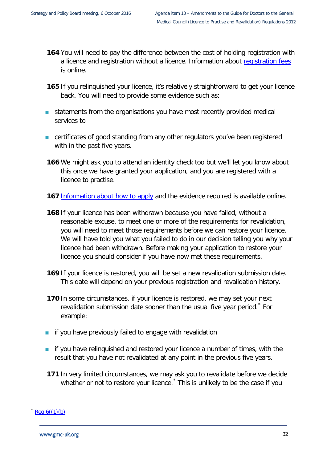- **164** You will need to pay the difference between the cost of holding registration with a licence and registration without a licence. Information about [registration fees](http://www.gmc-uk.org/doctors/fees.asp) is online.
- **165** If you relinquished your licence, it's relatively straightforward to get your licence back. You will need to provide some evidence such as:
- **statements from the organisations you have most recently provided medical** services to
- certificates of good standing from any other regulators you've been registered with in the past five years.
- **166** We might ask you to attend an identity check too but we'll let you know about this once we have granted your application, and you are registered with a licence to practise.
- **167** [Information about how to apply](http://www.gmc-uk.org/doctors/applications.asp) and the evidence required is available online.
- **168** If your licence has been withdrawn because you have failed, without a reasonable excuse, to meet one or more of the requirements for revalidation, you will need to meet those requirements before we can restore your licence. We will have told you what you failed to do in our decision telling you why your licence had been withdrawn. Before making your application to restore your licence you should consider if you have now met these requirements.
- **169** If your licence is restored, you will be set a new revalidation submission date. This date will depend on your previous registration and revalidation history.
- **170** In some circumstances, if your licence is restored, we may set your next revalidation submission date sooner than the usual five year period.<sup>[\\*](#page-34-0)</sup> For example:
- $\blacksquare$  if you have previously failed to engage with revalidation
- **if** you have relinquished and restored your licence a number of times, with the result that you have not revalidated at any point in the previous five years.
- **171** In very limited circumstances, we may ask you to revalidate before we decide whether or not to restore your licence.<sup>[\\*](#page-34-1)</sup> This is unlikely to be the case if you

<span id="page-34-1"></span><span id="page-34-0"></span> $\text{Re}q \; 6((1)(b))$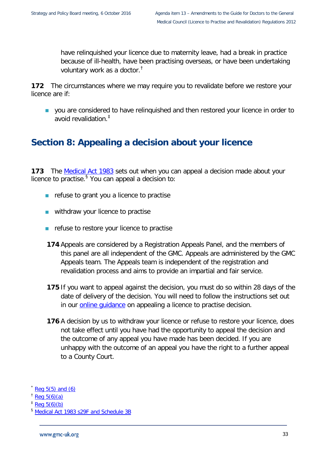have relinquished your licence due to maternity leave, had a break in practice because of ill-health, have been practising overseas, or have been undertaking voluntary work as a doctor.[†](#page-35-1)

**172** The circumstances where we may require you to revalidate before we restore your licence are if:

**v** you are considered to have relinquished and then restored your licence in order to avoid revalidation.[‡](#page-35-2)

## <span id="page-35-0"></span>**Section 8: Appealing a decision about your licence**

**173** The [Medical Act 1983](http://www.gmc-uk.org/about/legislation/medical_act.asp) sets out when you can appeal a decision made about your licence to practise.<sup>[§](#page-35-3)</sup> You can appeal a decision to:

- $\blacksquare$  refuse to grant you a licence to practise
- withdraw your licence to practise
- $\blacksquare$  refuse to restore your licence to practise
- **174** Appeals are considered by a Registration Appeals Panel, and the members of this panel are all independent of the GMC. Appeals are administered by the GMC Appeals team. The Appeals team is independent of the registration and revalidation process and aims to provide an impartial and fair service.
- **175** If you want to appeal against the decision, you must do so within 28 days of the date of delivery of the decision. You will need to follow the instructions set out in our **online quidance** on appealing a licence to practise decision.
- **176** A decision by us to withdraw your licence or refuse to restore your licence, does not take effect until you have had the opportunity to appeal the decision and the outcome of any appeal you have made has been decided. If you are unhappy with the outcome of an appeal you have the right to a further appeal to a County Court.

Reg  $5(5)$  and  $(6)$ 

<span id="page-35-1"></span>Reg  $5(6)(a)$ 

<span id="page-35-2"></span> $\frac{1}{2}$  [Reg 5\(6\)\(b\)](http://www.gmc-uk.org/LTP_and_Revalidation_Regs_Consolidated_2015.pdf_63947176.pdf)

<span id="page-35-3"></span><sup>§</sup> [Medical Act 1983 s29F and Schedule 3B](http://www.gmc-uk.org/about/legislation/medical_act.asp#29f)